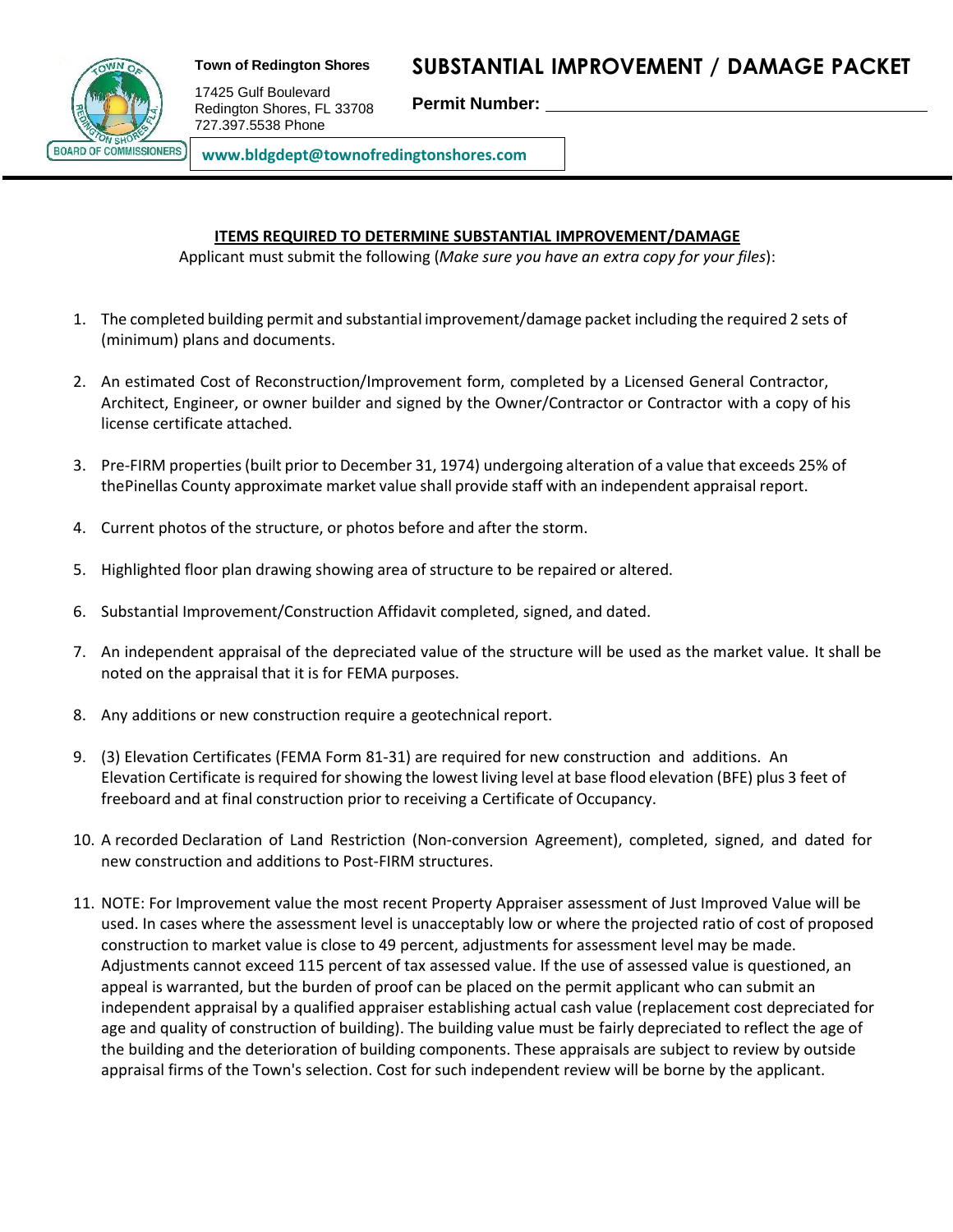

**Town of Redington Shores**

17425 Gulf Boulevard Redington Shores, FL 33708 727.397.5538 Phone

**SUBSTANTIAL IMPROVEMENT / DAMAGE PACKET**

**Permit Number:**

**www.bldgdept@townofredingtonshores.com**

## **ITEMS REQUIRED TO DETERMINE [SUBSTANTIAL](mailto:morton@madeirabeachfl.gov) IMPROVEMENT/DAMAGE**

Applicant must submit the following (*Make sure you have an extra copy for your files*):

- 1. The completed building permit and substantial improvement/damage packet including the required 2 sets of (minimum) plans and documents.
- 2. An estimated Cost of Reconstruction/Improvement form, completed by a Licensed General Contractor, Architect, Engineer, or owner builder and signed by the Owner/Contractor or Contractor with a copy of his license certificate attached.
- 3. Pre-FIRM properties(built prior to December 31, 1974) undergoing alteration of a value that exceeds 25% of thePinellas County approximate market value shall provide staff with an independent appraisal report.
- 4. Current photos of the structure, or photos before and after the storm.
- 5. Highlighted floor plan drawing showing area of structure to be repaired or altered.
- 6. Substantial Improvement/Construction Affidavit completed, signed, and dated.
- 7. An independent appraisal of the depreciated value of the structure will be used as the market value. It shall be noted on the appraisal that it is for FEMA purposes.
- 8. Any additions or new construction require a geotechnical report.
- 9. (3) Elevation Certificates (FEMA Form 81-31) are required for new construction and additions. An Elevation Certificate is required for showing the lowest living level at base flood elevation (BFE) plus 3 feet of freeboard and at final construction prior to receiving a Certificate of Occupancy.
- 10. A recorded Declaration of Land Restriction (Non-conversion Agreement), completed, signed, and dated for new construction and additions to Post-FIRM structures.
- 11. NOTE: For Improvement value the most recent Property Appraiser assessment of Just Improved Value will be used. In cases where the assessment level is unacceptably low or where the projected ratio of cost of proposed construction to market value is close to 49 percent, adjustments for assessment level may be made. Adjustments cannot exceed 115 percent of tax assessed value. If the use of assessed value is questioned, an appeal is warranted, but the burden of proof can be placed on the permit applicant who can submit an independent appraisal by a qualified appraiser establishing actual cash value (replacement cost depreciated for age and quality of construction of building). The building value must be fairly depreciated to reflect the age of the building and the deterioration of building components. These appraisals are subject to review by outside appraisal firms of the Town's selection. Cost for such independent review will be borne by the applicant.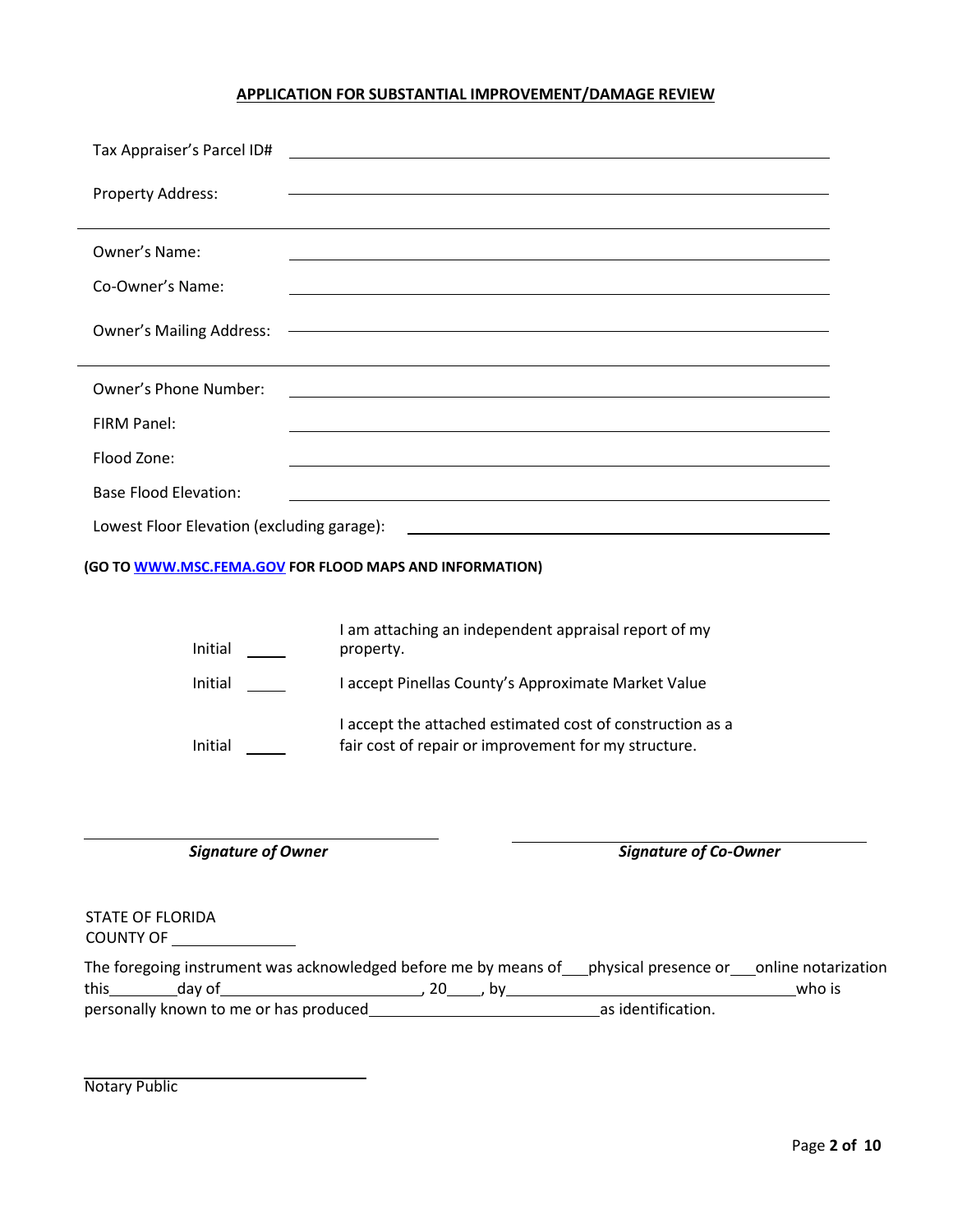## **APPLICATION FOR SUBSTANTIAL IMPROVEMENT/DAMAGE REVIEW**

| Tax Appraiser's Parcel ID#                            | <u> 1980 - Johann Barbara, martxa alemaniar argametar a contra a contra a contra a contra a contra a contra a co</u>     |
|-------------------------------------------------------|--------------------------------------------------------------------------------------------------------------------------|
| Property Address:                                     |                                                                                                                          |
| Owner's Name:                                         |                                                                                                                          |
| Co-Owner's Name:                                      | <u> 1989 - Johann John Stone, markin film fan it ferfing fan it ferfing fan it ferfing fan it ferfing fan it ferfi</u>   |
| <b>Owner's Mailing Address:</b>                       | <u> 1989 - Johann Stoff, deutscher Stoffen und der Stoffen und der Stoffen und der Stoffen und der Stoffen und de</u>    |
| <b>Owner's Phone Number:</b>                          |                                                                                                                          |
| FIRM Panel:                                           |                                                                                                                          |
| Flood Zone:                                           |                                                                                                                          |
| <b>Base Flood Elevation:</b>                          | <u> 1989 - Johann Harry Barn, mars ar brenin beskriuwer yn de ferfinning yn de ferfinning yn de ferfinning yn de</u>     |
| Lowest Floor Elevation (excluding garage):            | <u> 1989 - Johann Barbara, martin amerikan basal dan berasal dan berasal dalam basal dalam basal dalam basal dala</u>    |
|                                                       | (GO TO WWW.MSC.FEMA.GOV FOR FLOOD MAPS AND INFORMATION)                                                                  |
| Initial                                               | I am attaching an independent appraisal report of my<br>property.                                                        |
| Initial                                               | I accept Pinellas County's Approximate Market Value                                                                      |
| Initial                                               | I accept the attached estimated cost of construction as a<br>fair cost of repair or improvement for my structure.        |
| <b>Signature of Owner</b>                             | <b>Signature of Co-Owner</b>                                                                                             |
| <b>STATE OF FLORIDA</b><br>COUNTY OF <u>COUNTY OF</u> |                                                                                                                          |
|                                                       | The foregoing instrument was acknowledged before me by means of ___physical presence or ___online notarization<br>who is |
|                                                       |                                                                                                                          |
|                                                       |                                                                                                                          |

Notary Public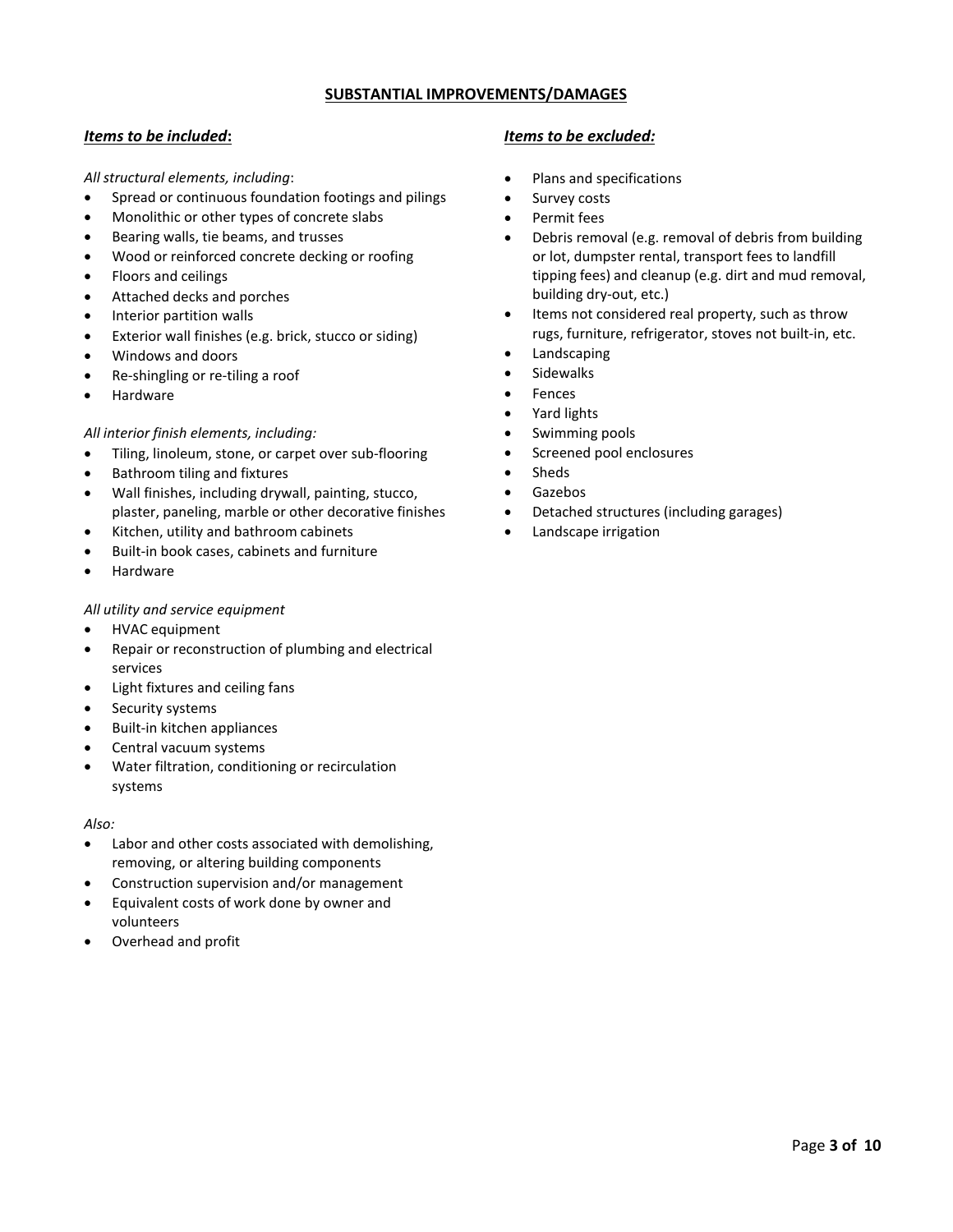## **SUBSTANTIAL IMPROVEMENTS/DAMAGES**

*All structural elements, including*:

- Spread or continuous foundation footings and pilings
- Monolithic or other types of concrete slabs
- Bearing walls, tie beams, and trusses
- Wood or reinforced concrete decking or roofing
- Floors and ceilings
- Attached decks and porches
- Interior partition walls
- Exterior wall finishes (e.g. brick, stucco or siding)
- Windows and doors
- Re-shingling or re-tiling a roof
- Hardware

## *All interior finish elements, including:*

- Tiling, linoleum, stone, or carpet over sub-flooring
- Bathroom tiling and fixtures
- Wall finishes, including drywall, painting, stucco, plaster, paneling, marble or other decorative finishes
- Kitchen, utility and bathroom cabinets
- Built-in book cases, cabinets and furniture
- Hardware

#### *All utility and service equipment*

- HVAC equipment
- Repair or reconstruction of plumbing and electrical services
- Light fixtures and ceiling fans
- Security systems
- Built-in kitchen appliances
- Central vacuum systems
- Water filtration, conditioning or recirculation systems

#### *Also:*

- Labor and other costs associated with demolishing, removing, or altering building components
- Construction supervision and/or management
- Equivalent costs of work done by owner and volunteers
- Overhead and profit

## *Items to be included***:** *Items to be excluded:*

- Plans and specifications
- Survey costs
- Permit fees
- Debris removal (e.g. removal of debris from building or lot, dumpster rental, transport fees to landfill tipping fees) and cleanup (e.g. dirt and mud removal, building dry-out, etc.)
- Items not considered real property, such as throw rugs, furniture, refrigerator, stoves not built-in, etc.
- **Landscaping**
- **Sidewalks**
- **Fences**
- Yard lights
- Swimming pools
- Screened pool enclosures
- **Sheds**
- Gazebos
- Detached structures (including garages)
- Landscape irrigation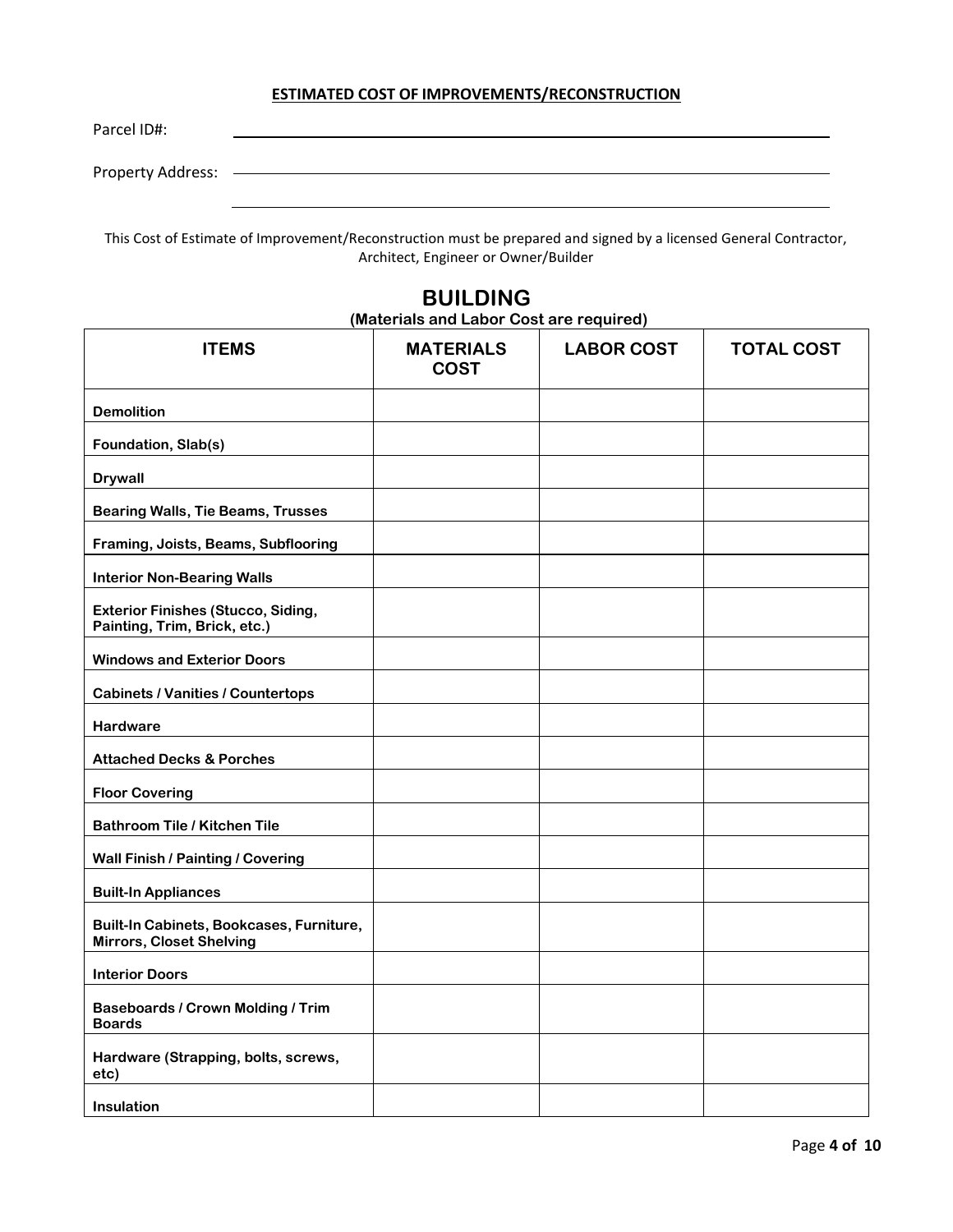## **ESTIMATED COST OF IMPROVEMENTS/RECONSTRUCTION**

Parcel ID#:

Property Address:

This Cost of Estimate of Improvement/Reconstruction must be prepared and signed by a licensed General Contractor, Architect, Engineer or Owner/Builder

# **ITEMS MATERIALS COST LABOR COST TOTAL COST Demolition Foundation, Slab(s) Drywall Bearing Walls, Tie Beams, Trusses Framing, Joists, Beams, Subflooring Interior Non-Bearing Walls Exterior Finishes (Stucco, Siding, Painting, Trim, Brick, etc.) Windows and Exterior Doors Cabinets / Vanities / Countertops Hardware Attached Decks & Porches Floor Covering Bathroom Tile / Kitchen Tile Wall Finish / Painting / Covering Built-In Appliances Built-In Cabinets, Bookcases, Furniture, Mirrors, Closet Shelving Interior Doors Baseboards / Crown Molding / Trim Boards Hardware (Strapping, bolts, screws, etc) Insulation**

## **BUILDING (Materials and Labor Cost are required)**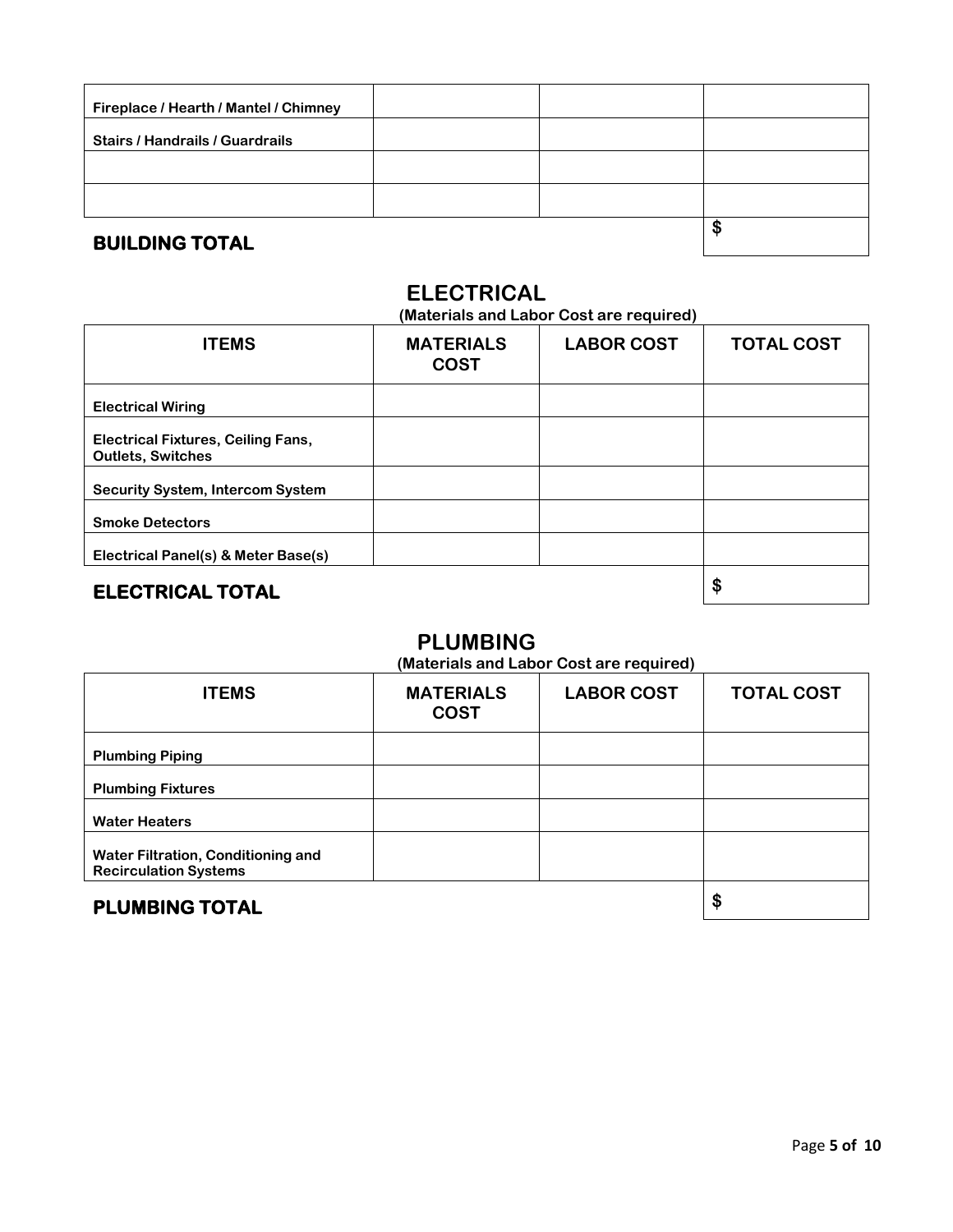| Fireplace / Hearth / Mantel / Chimney  |  |    |
|----------------------------------------|--|----|
| <b>Stairs / Handrails / Guardrails</b> |  |    |
|                                        |  |    |
|                                        |  |    |
| <b>BUILDING TOTAL</b>                  |  | \$ |

# **ELECTRICAL**

**(Materials and Labor Cost are required)**

| <b>ITEMS</b>                                                          | <b>MATERIALS</b><br><b>COST</b> | <b>LABOR COST</b> | <b>TOTAL COST</b> |
|-----------------------------------------------------------------------|---------------------------------|-------------------|-------------------|
| <b>Electrical Wiring</b>                                              |                                 |                   |                   |
| <b>Electrical Fixtures, Ceiling Fans,</b><br><b>Outlets, Switches</b> |                                 |                   |                   |
| <b>Security System, Intercom System</b>                               |                                 |                   |                   |
| <b>Smoke Detectors</b>                                                |                                 |                   |                   |
| Electrical Panel(s) & Meter Base(s)                                   |                                 |                   |                   |
| <b>ELECTRICAL TOTAL</b>                                               |                                 |                   | \$                |

## **PLUMBING**

**(Materials and Labor Cost are required)**

| <b>ITEMS</b>                                                       | <b>MATERIALS</b><br><b>COST</b> | <b>LABOR COST</b> | <b>TOTAL COST</b> |
|--------------------------------------------------------------------|---------------------------------|-------------------|-------------------|
| <b>Plumbing Piping</b>                                             |                                 |                   |                   |
| <b>Plumbing Fixtures</b>                                           |                                 |                   |                   |
| <b>Water Heaters</b>                                               |                                 |                   |                   |
| Water Filtration, Conditioning and<br><b>Recirculation Systems</b> |                                 |                   |                   |
| <b>PLUMBING TOTAL</b>                                              |                                 |                   | \$                |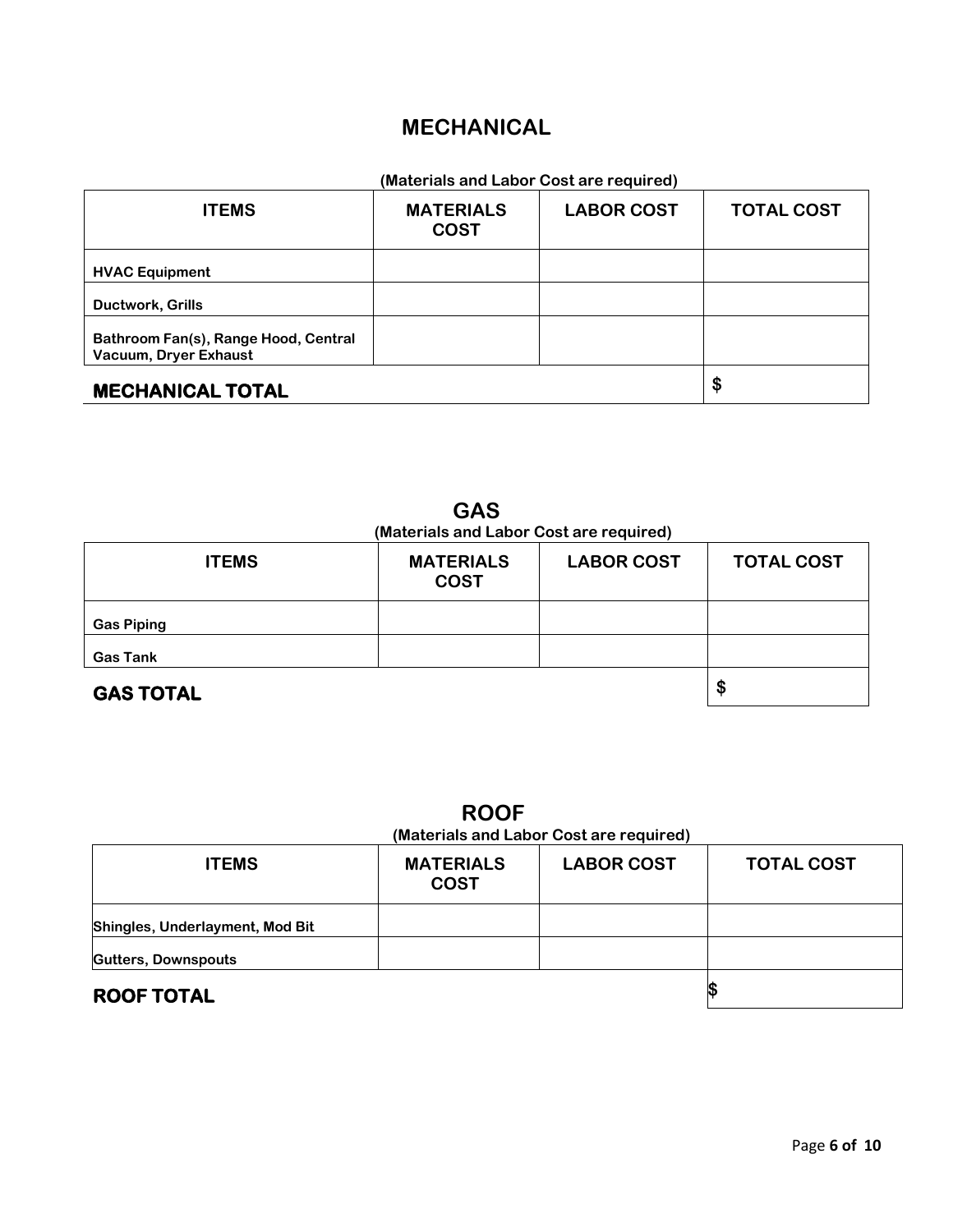# **MECHANICAL**

| (Materials and Labor Cost are required)                       |                                 |                   |                   |
|---------------------------------------------------------------|---------------------------------|-------------------|-------------------|
| <b>ITEMS</b>                                                  | <b>MATERIALS</b><br><b>COST</b> | <b>LABOR COST</b> | <b>TOTAL COST</b> |
| <b>HVAC Equipment</b>                                         |                                 |                   |                   |
| Ductwork, Grills                                              |                                 |                   |                   |
| Bathroom Fan(s), Range Hood, Central<br>Vacuum, Dryer Exhaust |                                 |                   |                   |
| <b>MECHANICAL TOTAL</b>                                       |                                 |                   | \$                |

| <b>GAS</b><br>(Materials and Labor Cost are required) |                                 |                   |                   |
|-------------------------------------------------------|---------------------------------|-------------------|-------------------|
| <b>ITEMS</b>                                          | <b>MATERIALS</b><br><b>COST</b> | <b>LABOR COST</b> | <b>TOTAL COST</b> |
| <b>Gas Piping</b>                                     |                                 |                   |                   |
| <b>Gas Tank</b>                                       |                                 |                   |                   |
| <b>GAS TOTAL</b>                                      |                                 |                   | \$                |

**ROOF (Materials and Labor Cost are required)**

| <b>ITEMS</b>                    | <b>MATERIALS</b><br><b>COST</b> | <b>LABOR COST</b> | <b>TOTAL COST</b> |
|---------------------------------|---------------------------------|-------------------|-------------------|
| Shingles, Underlayment, Mod Bit |                                 |                   |                   |
| <b>Gutters, Downspouts</b>      |                                 |                   |                   |
| <b>ROOF TOTAL</b>               |                                 |                   |                   |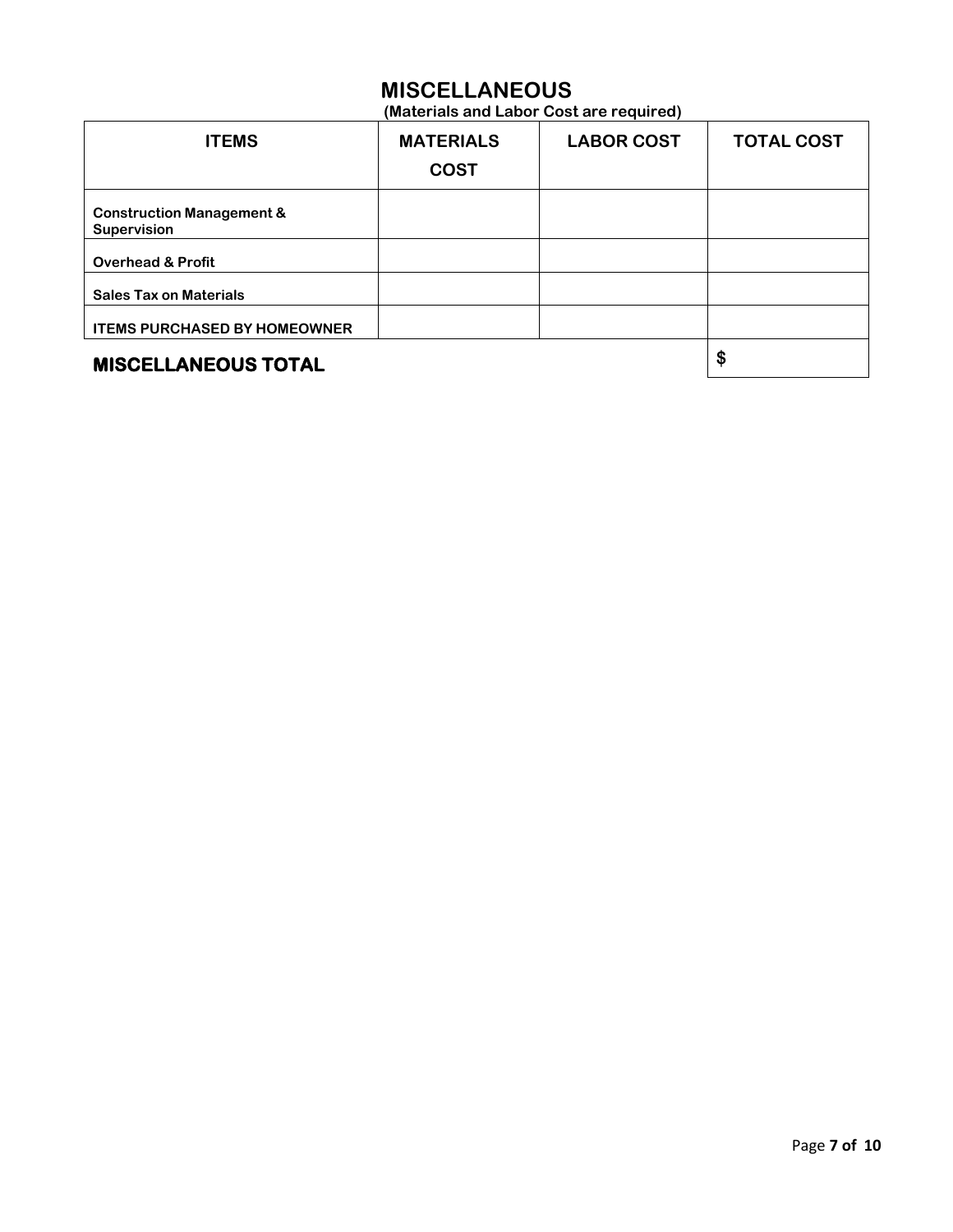# **MISCELLANEOUS**

**(Materials and Labor Cost are required)**

| <b>ITEMS</b>                                               | <b>MATERIALS</b><br><b>COST</b> | <b>LABOR COST</b> | <b>TOTAL COST</b> |
|------------------------------------------------------------|---------------------------------|-------------------|-------------------|
| <b>Construction Management &amp;</b><br><b>Supervision</b> |                                 |                   |                   |
| <b>Overhead &amp; Profit</b>                               |                                 |                   |                   |
| <b>Sales Tax on Materials</b>                              |                                 |                   |                   |
| <b>ITEMS PURCHASED BY HOMEOWNER</b>                        |                                 |                   |                   |
| <b>MISCELLANEOUS TOTAL</b>                                 |                                 |                   | \$                |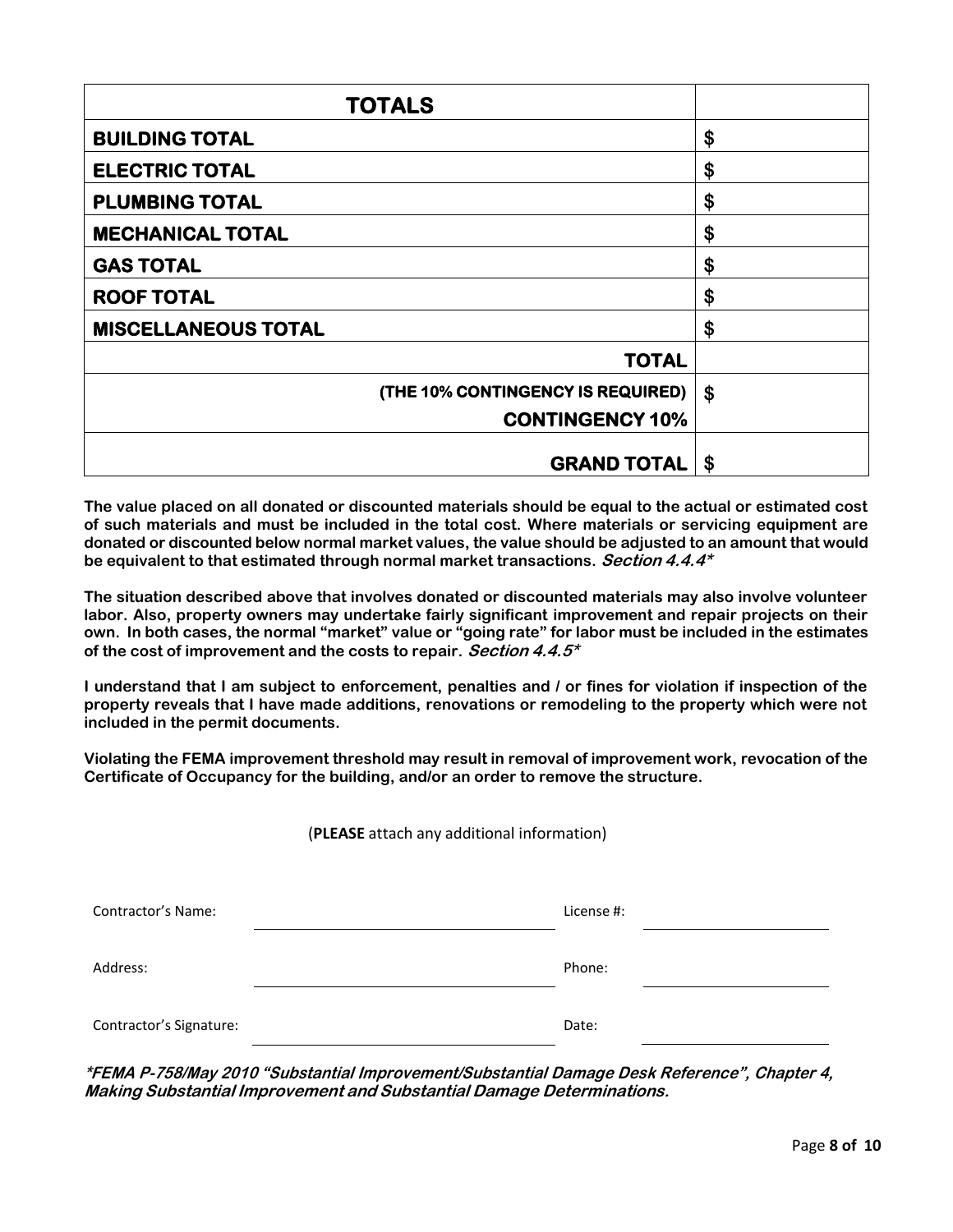| <b>TOTALS</b>                     |    |
|-----------------------------------|----|
| <b>BUILDING TOTAL</b>             | \$ |
| <b>ELECTRIC TOTAL</b>             | \$ |
| <b>PLUMBING TOTAL</b>             | \$ |
| <b>MECHANICAL TOTAL</b>           | \$ |
| <b>GAS TOTAL</b>                  | \$ |
| <b>ROOF TOTAL</b>                 | \$ |
| <b>MISCELLANEOUS TOTAL</b>        | \$ |
| <b>TOTAL</b>                      |    |
| (THE 10% CONTINGENCY IS REQUIRED) | \$ |
| <b>CONTINGENCY 10%</b>            |    |
| <b>GRAND TOTAL</b>                | \$ |

**The value placed on all donated or discounted materials should be equal to the actual or estimated cost of such materials and must be included in the total cost. Where materials or servicing equipment are donated or discounted below normal market values, the value should be adjusted to an amount that would be equivalent to that estimated through normal market transactions. Section 4.4.4\***

**The situation described above that involves donated or discounted materials may also involve volunteer labor. Also, property owners may undertake fairly significant improvement and repair projects on their** own. In both cases, the normal "market" value or "going rate" for labor must be included in the estimates **of the cost of improvement and the costs to repair. Section 4.4.5\***

**I understand that I am subject to enforcement, penalties and / or fines for violation if inspection of the property reveals that I have made additions, renovations or remodeling to the property which were not included in the permit documents.**

**Violating the FEMA improvement threshold may result in removal of improvement work, revocation of the Certificate of Occupancy for the building, and/or an order to remove the structure.**

(**PLEASE** attach any additional information)

| Contractor's Name:      | License #: |
|-------------------------|------------|
| Address:                | Phone:     |
| Contractor's Signature: | Date:      |

**\*FEMA P-758/May 2010 "Substantial Improvement/Substantial Damage Desk Reference", Chapter 4, Making Substantial Improvement and Substantial Damage Determinations.**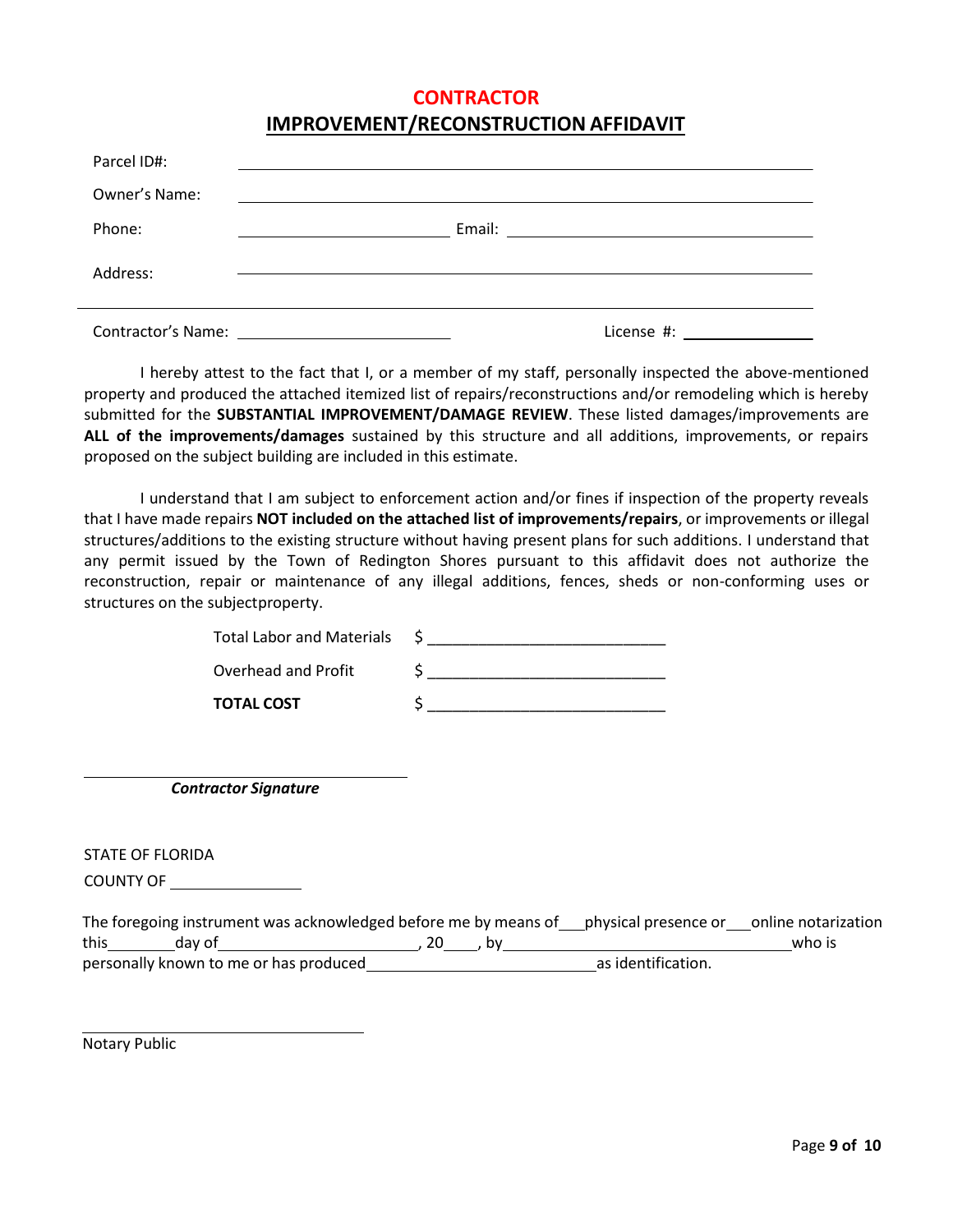## **CONTRACTOR**

## **IMPROVEMENT/RECONSTRUCTION AFFIDAVIT**

| Parcel ID#:                               |            |
|-------------------------------------------|------------|
| Owner's Name:                             |            |
| Phone:                                    |            |
| Address:                                  |            |
| Contractor's Name: The Contractor's Name: | License #: |

I hereby attest to the fact that I, or a member of my staff, personally inspected the above-mentioned property and produced the attached itemized list of repairs/reconstructions and/or remodeling which is hereby submitted for the **SUBSTANTIAL IMPROVEMENT/DAMAGE REVIEW**. These listed damages/improvements are **ALL of the improvements/damages** sustained by this structure and all additions, improvements, or repairs proposed on the subject building are included in this estimate.

I understand that I am subject to enforcement action and/or fines if inspection of the property reveals that I have made repairs **NOT included on the attached list of improvements/repairs**, or improvements or illegal structures/additions to the existing structure without having present plans for such additions. I understand that any permit issued by the Town of Redington Shores pursuant to this affidavit does not authorize the reconstruction, repair or maintenance of any illegal additions, fences, sheds or non-conforming uses or structures on the subjectproperty.

| Total Labor and Materials |  |
|---------------------------|--|
| Overhead and Profit       |  |
| <b>TOTAL COST</b>         |  |

*Contractor Signature*

STATE OF FLORIDA

COUNTY OF

|      |                                        | The foregoing instrument was acknowledged before me by means of physical presence or online notarization |                    |        |
|------|----------------------------------------|----------------------------------------------------------------------------------------------------------|--------------------|--------|
| this | dav of                                 | 20                                                                                                       |                    | who is |
|      | personally known to me or has produced |                                                                                                          | as identification. |        |

Notary Public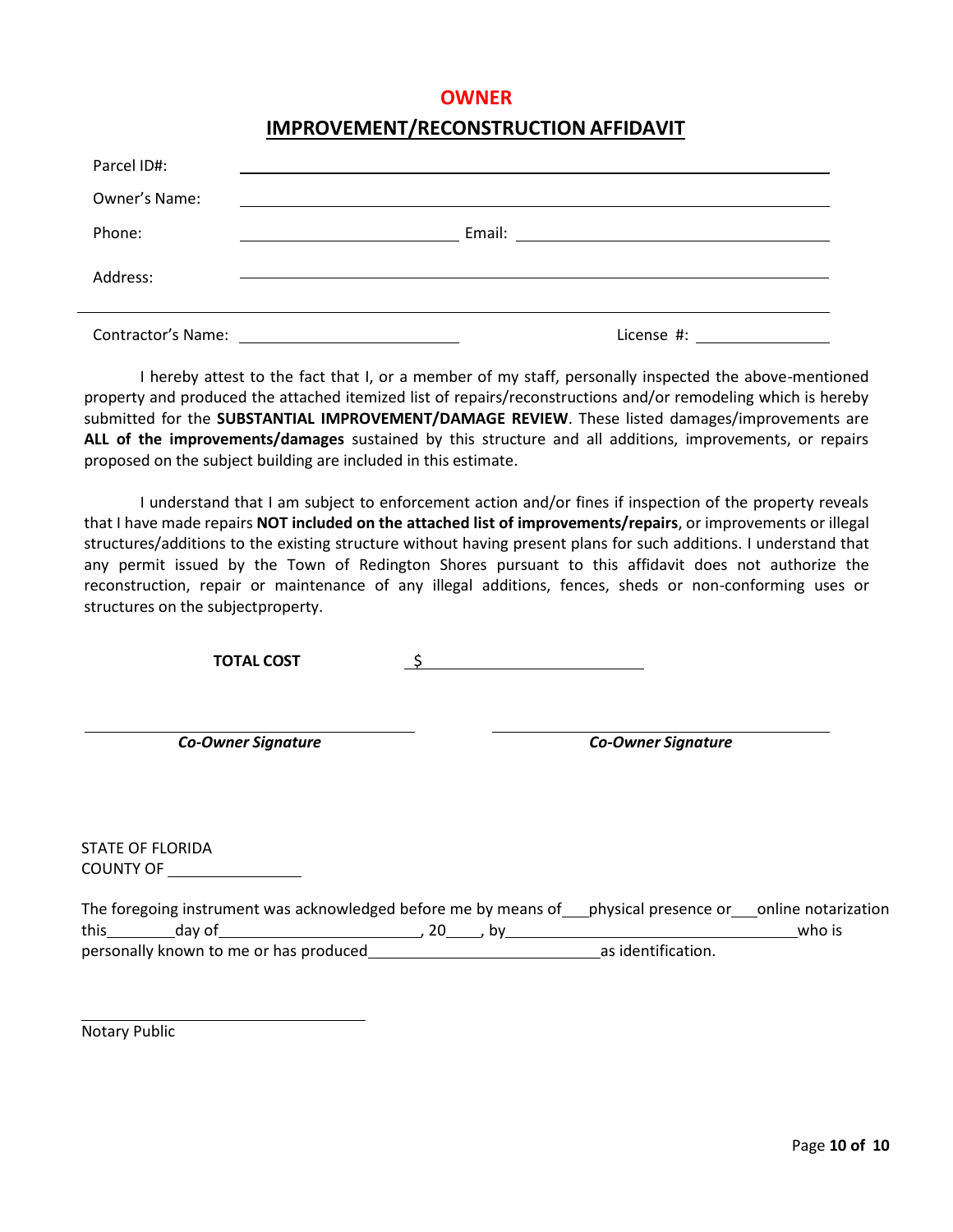## **OWNER**

## **IMPROVEMENT/RECONSTRUCTION AFFIDAVIT**

| Parcel ID#:               |            |
|---------------------------|------------|
| Owner's Name:             |            |
| Phone:                    |            |
| Address:                  |            |
| <b>Contractor's Name:</b> | License #: |

I hereby attest to the fact that I, or a member of my staff, personally inspected the above-mentioned property and produced the attached itemized list of repairs/reconstructions and/or remodeling which is hereby submitted for the **SUBSTANTIAL IMPROVEMENT/DAMAGE REVIEW**. These listed damages/improvements are **ALL of the improvements/damages** sustained by this structure and all additions, improvements, or repairs proposed on the subject building are included in this estimate.

I understand that I am subject to enforcement action and/or fines if inspection of the property reveals that I have made repairs **NOT included on the attached list of improvements/repairs**, or improvements or illegal structures/additions to the existing structure without having present plans for such additions. I understand that any permit issued by the Town of Redington Shores pursuant to this affidavit does not authorize the reconstruction, repair or maintenance of any illegal additions, fences, sheds or non-conforming uses or structures on the subjectproperty.

**TOTAL COST** \$

*Co-Owner Signature Co-Owner Signature*

STATE OF FLORIDA COUNTY OF

|      | The foregoing instrument was acknowledged before me by means of physical presence or polline notarization |  |                    |        |
|------|-----------------------------------------------------------------------------------------------------------|--|--------------------|--------|
| this | dav of                                                                                                    |  |                    | who is |
|      | personally known to me or has produced                                                                    |  | as identification. |        |

Notary Public